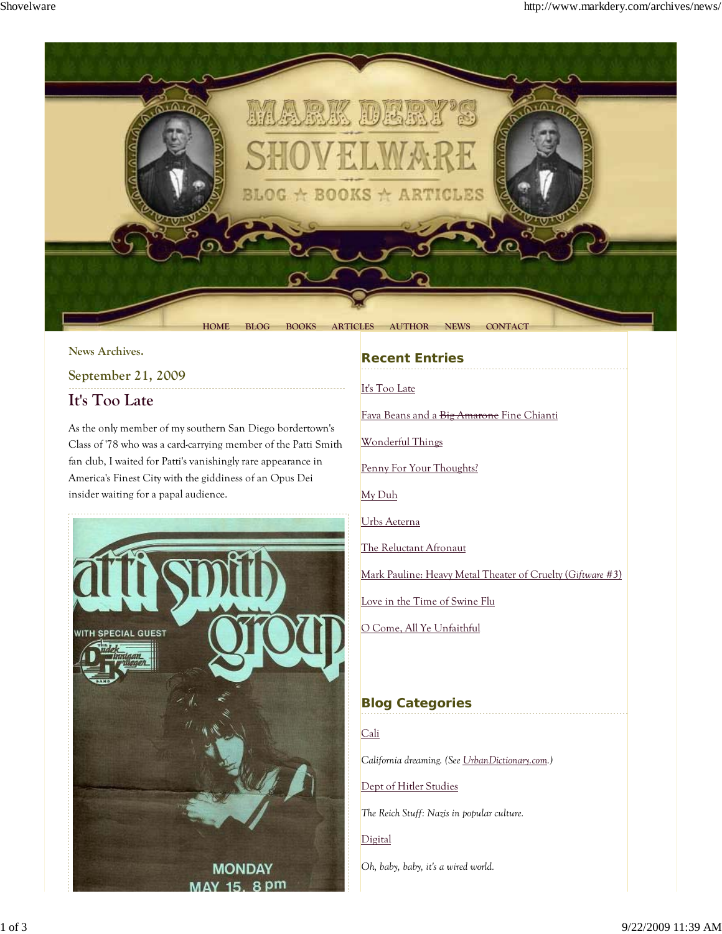

#### **News Archives.**

# **September 21, 2009 It's Too Late**

As the only member of my southern San Diego bordertown's Class of '78 who was a card-carrying member of the Patti Smith fan club, I waited for Patti's vanishingly rare appearance in America's Finest City with the giddiness of an Opus Dei insider waiting for a papal audience.



### **Recent Entries**

It's Too Late

Fava Beans and a Big Amarone Fine Chianti

Wonderful Things

Penny For Your Thoughts?

My Duh

Urbs Aeterna

The Reluctant Afronaut

Mark Pauline: Heavy Metal Theater of Cruelty (*Giftware #3*)

Love in the Time of Swine Flu

O Come, All Ye Unfaithful

## **Blog Categories**

Cali *California dreaming. (See UrbanDictionary.com.)* Dept of Hitler Studies

*The Reich Stuff: Nazis in popular culture.*

Digital

*Oh, baby, baby, it's a wired world.*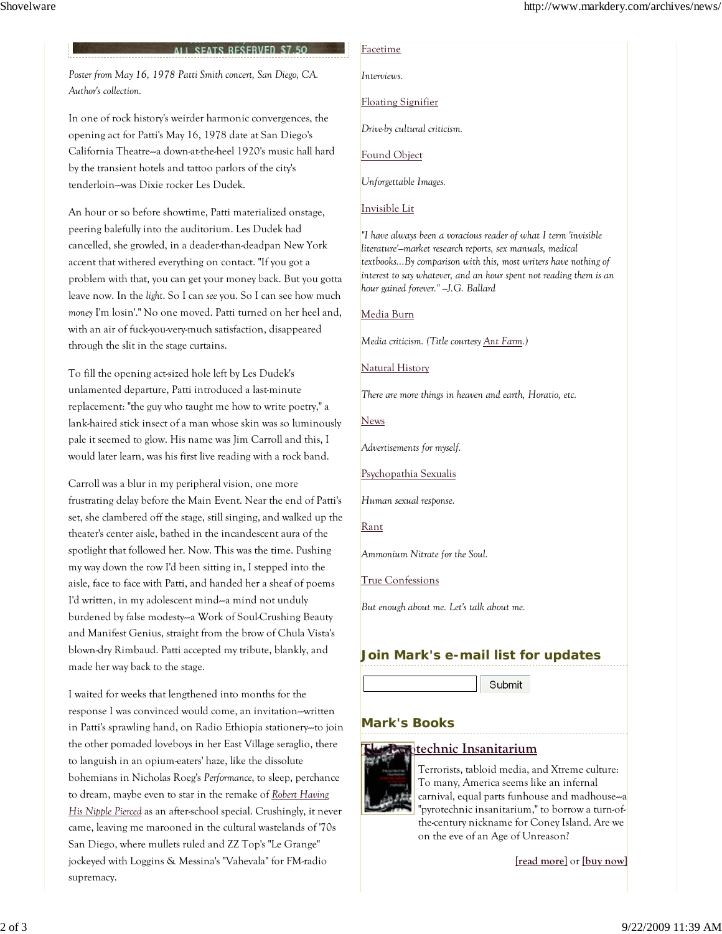#### **ALL SEATS RESERVED \$7.50**

*Poster from May 16, 1978 Patti Smith concert, San Diego, CA. Author's collection.*

In one of rock history's weirder harmonic convergences, the opening act for Patti's May 16, 1978 date at San Diego's California Theatre--a down-at-the-heel 1920's music hall hard by the transient hotels and tattoo parlors of the city's tenderloin--was Dixie rocker Les Dudek.

An hour or so before showtime, Patti materialized onstage, peering balefully into the auditorium. Les Dudek had cancelled, she growled, in a deader-than-deadpan New York accent that withered everything on contact. "If you got a problem with that, you can get your money back. But you gotta leave now. In the *light*. So I can *see* you. So I can see how much *money* I'm losin'." No one moved. Patti turned on her heel and, with an air of fuck-you-very-much satisfaction, disappeared through the slit in the stage curtains.

To fill the opening act-sized hole left by Les Dudek's unlamented departure, Patti introduced a last-minute replacement: "the guy who taught me how to write poetry," a lank-haired stick insect of a man whose skin was so luminously pale it seemed to glow. His name was Jim Carroll and this, I would later learn, was his first live reading with a rock band.

Carroll was a blur in my peripheral vision, one more frustrating delay before the Main Event. Near the end of Patti's set, she clambered off the stage, still singing, and walked up the theater's center aisle, bathed in the incandescent aura of the spotlight that followed her. Now. This was the time. Pushing my way down the row I'd been sitting in, I stepped into the aisle, face to face with Patti, and handed her a sheaf of poems I'd written, in my adolescent mind--a mind not unduly burdened by false modesty--a Work of Soul-Crushing Beauty and Manifest Genius, straight from the brow of Chula Vista's blown-dry Rimbaud. Patti accepted my tribute, blankly, and made her way back to the stage.

I waited for weeks that lengthened into months for the response I was convinced would come, an invitation--written in Patti's sprawling hand, on Radio Ethiopia stationery--to join the other pomaded loveboys in her East Village seraglio, there to languish in an opium-eaters' haze, like the dissolute bohemians in Nicholas Roeg's *Performance*, to sleep, perchance to dream, maybe even to star in the remake of *Robert Having His Nipple Pierced* as an after-school special. Crushingly, it never came, leaving me marooned in the cultural wastelands of '70s San Diego, where mullets ruled and ZZ Top's "Le Grange" jockeyed with Loggins & Messina's "Vahevala" for FM-radio supremacy.

#### Facetime

*Interviews.*

Floating Signifier

*Drive-by cultural criticism.*

Found Object

*Unforgettable Images.*

#### Invisible Lit

*"I have always been a voracious reader of what I term 'invisible literature'—market research reports, sex manuals, medical textbooks...By comparison with this, most writers have nothing of interest to say whatever, and an hour spent not reading them is an hour gained forever." —J.G. Ballard*

Media Burn

*Media criticism. (Title courtesy Ant Farm.)*

Natural History

*There are more things in heaven and earth, Horatio, etc.*

**News** 

*Advertisements for myself.*

Psychopathia Sexualis

*Human sexual response.*

Rant

*Ammonium Nitrate for the Soul.*

True Confessions

*But enough about me. Let's talk about me.*

### **Join Mark's e-mail list for updates**

Submit

**Mark's Books**

#### **The Pyrotechnic Insanitarium**



Terrorists, tabloid media, and Xtreme culture: To many, America seems like an infernal carnival, equal parts funhouse and madhouse-a "pyrotechnic insanitarium," to borrow a turn-ofthe-century nickname for Coney Island. Are we on the eve of an Age of Unreason?

**[read more]** or **[buy now]**